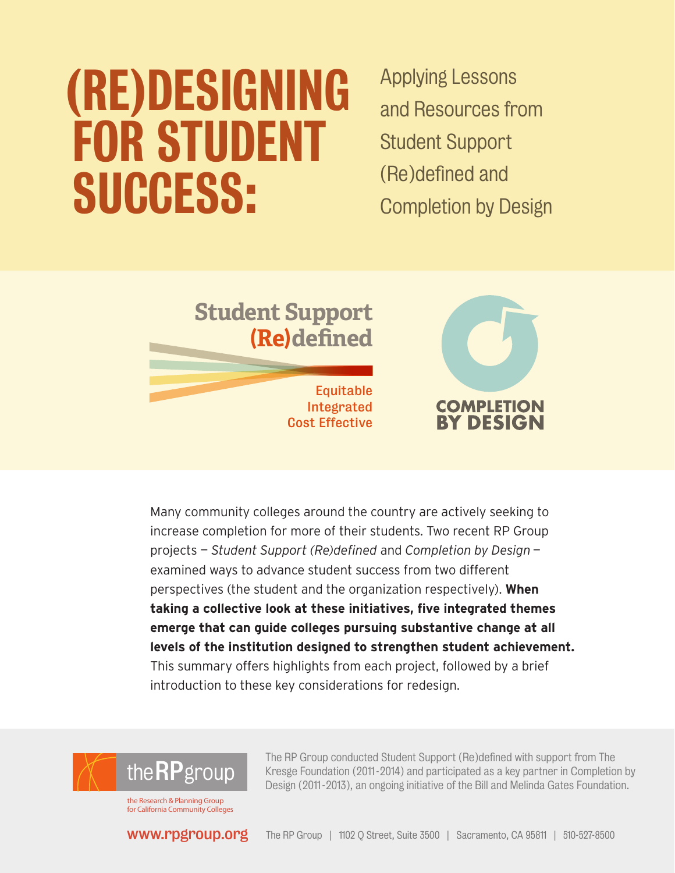# (Re)designing for Student **SUCCESS:**

Applying Lessons and Resources from Student Support (Re)defined and Completion by Design



Many community colleges around the country are actively seeking to increase completion for more of their students. Two recent RP Group projects — *Student Support (Re)defined* and *Completion by Design* examined ways to advance student success from two different perspectives (the student and the organization respectively). **When taking a collective look at these initiatives, five integrated themes emerge that can guide colleges pursuing substantive change at all levels of the institution designed to strengthen student achievement.**  This summary offers highlights from each project, followed by a brief introduction to these key considerations for redesign.



for California Community Colleges

www[.rpgroup.org](www.rpgroup.org)

The RP Group conducted Student Support (Re)defined with support from The Kresge Foundation (2011 -2014) and participated as a key partner in Completion by Design (2011 -2013), an ongoing initiative of the Bill and Melinda Gates Foundation.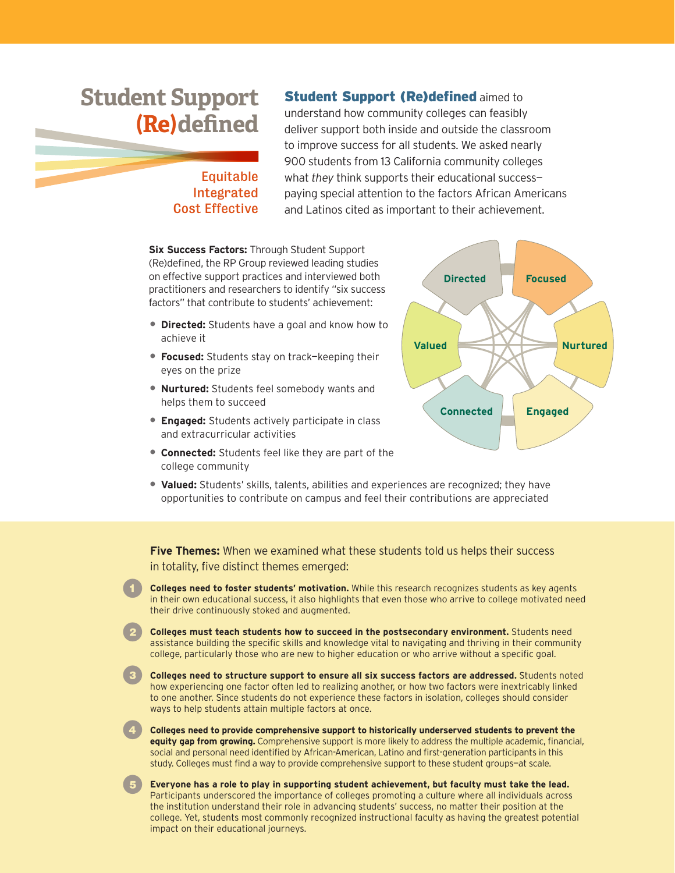## **Student Support (Re)defined**

### Equitable Integrated Cost Effective

**Student Support (Re)defined aimed to** understand how community colleges can feasibly deliver support both inside and outside the classroom to improve success for all students. We asked nearly 900 students from 13 California community colleges what *they* think supports their educational success paying special attention to the factors African Americans and Latinos cited as important to their achievement.

**Six Success Factors:** Through Student Support (Re)defined, the RP Group reviewed leading studies on effective support practices and interviewed both practitioners and researchers to identify "six success factors" that contribute to students' achievement:

- **Directed:** Students have a goal and know how to achieve it
- **Focused:** Students stay on track—keeping their eyes on the prize
- **Nurtured:** Students feel somebody wants and helps them to succeed
- **Engaged:** Students actively participate in class and extracurricular activities
- **Connected:** Students feel like they are part of the college community
- **Valued:** Students' skills, talents, abilities and experiences are recognized; they have opportunities to contribute on campus and feel their contributions are appreciated

**Five Themes:** When we examined what these students told us helps their success

in totality, five distinct themes emerged:

- **1 Colleges need to foster students' motivation.** While this research recognizes students as key agents in their own educational success, it also highlights that even those who arrive to college motivated need their drive continuously stoked and augmented.
	- 2 **Colleges must teach students how to succeed in the postsecondary environment.** Students need assistance building the specific skills and knowledge vital to navigating and thriving in their community college, particularly those who are new to higher education or who arrive without a specific goal.

**3 Colleges need to structure support to ensure all six success factors are addressed.** Students noted how experiencing one factor often led to realizing another, or how two factors were inextricably linked to one another. Since students do not experience these factors in isolation, colleges should consider ways to help students attain multiple factors at once.

4 **Colleges need to provide comprehensive support to historically underserved students to prevent the equity gap from growing.** Comprehensive support is more likely to address the multiple academic, financial, social and personal need identified by African-American, Latino and first-generation participants in this study. Colleges must find a way to provide comprehensive support to these student groups—at scale.

5 **Everyone has a role to play in supporting student achievement, but faculty must take the lead.** Participants underscored the importance of colleges promoting a culture where all individuals across the institution understand their role in advancing students' success, no matter their position at the college. Yet, students most commonly recognized instructional faculty as having the greatest potential impact on their educational journeys.

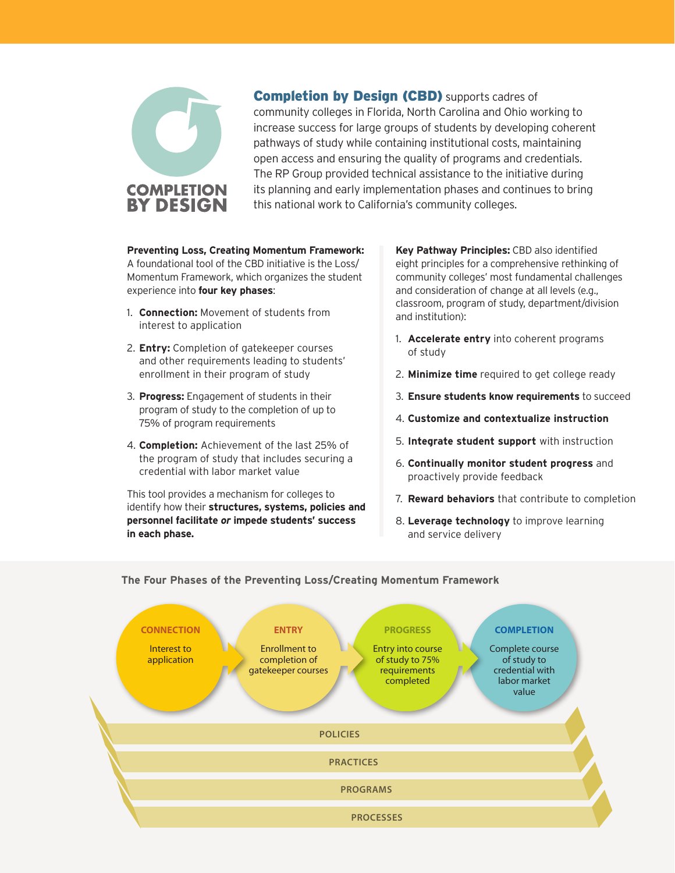

**Completion by Design (CBD)** supports cadres of community colleges in Florida, North Carolina and Ohio working to increase success for large groups of students by developing coherent pathways of study while containing institutional costs, maintaining open access and ensuring the quality of programs and credentials. The RP Group provided technical assistance to the initiative during its planning and early implementation phases and continues to bring this national work to California's community colleges.

### **Preventing Loss, Creating Momentum Framework:**

A foundational tool of the CBD initiative is the Loss/ Momentum Framework, which organizes the student experience into **four key phases**:

- 1. **Connection:** Movement of students from interest to application
- 2. **Entry:** Completion of gatekeeper courses and other requirements leading to students' enrollment in their program of study
- 3. **Progress:** Engagement of students in their program of study to the completion of up to 75% of program requirements
- 4. **Completion:** Achievement of the last 25% of the program of study that includes securing a credential with labor market value

This tool provides a mechanism for colleges to identify how their **structures, systems, policies and personnel facilitate** *or* **impede students' success in each phase.** 

**Key Pathway Principles:** CBD also identified eight principles for a comprehensive rethinking of community colleges' most fundamental challenges and consideration of change at all levels (e.g., classroom, program of study, department/division and institution):

- 1. **Accelerate entry** into coherent programs of study
- 2. **Minimize time** required to get college ready
- 3. **Ensure students know requirements** to succeed
- 4. **Customize and contextualize instruction**
- 5. **Integrate student support** with instruction
- 6. **Continually monitor student progress** and proactively provide feedback
- 7. **Reward behaviors** that contribute to completion
- 8. **Leverage technology** to improve learning and service delivery



**The Four Phases of the Preventing Loss/Creating Momentum Framework**